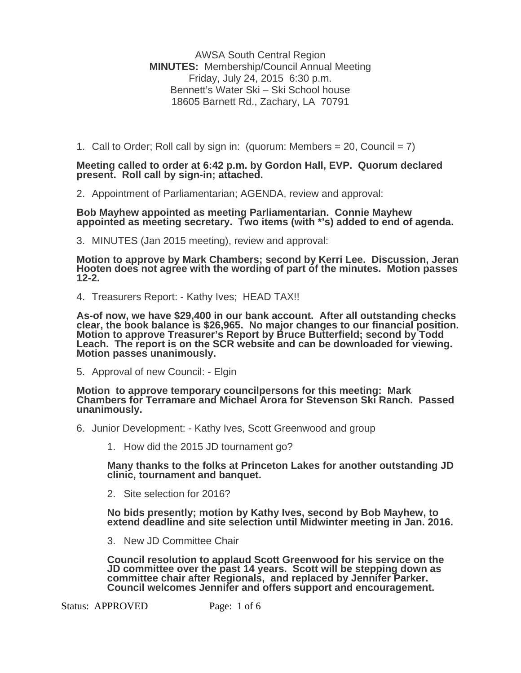AWSA South Central Region **MINUTES:** Membership/Council Annual Meeting Friday, July 24, 2015 6:30 p.m. Bennett's Water Ski – Ski School house 18605 Barnett Rd., Zachary, LA 70791

1. Call to Order; Roll call by sign in: (quorum: Members  $= 20$ , Council  $= 7$ )

**Meeting called to order at 6:42 p.m. by Gordon Hall, EVP. Quorum declared present. Roll call by sign-in; attached.** 

2. Appointment of Parliamentarian; AGENDA, review and approval:

**Bob Mayhew appointed as meeting Parliamentarian. Connie Mayhew appointed as meeting secretary. Two items (with \*'s) added to end of agenda.** 

3. MINUTES (Jan 2015 meeting), review and approval:

**Motion to approve by Mark Chambers; second by Kerri Lee. Discussion, Jeran Hooten does not agree with the wording of part of the minutes. Motion passes 12-2.** 

4. Treasurers Report: - Kathy Ives; HEAD TAX!!

As-of now, we have \$29,400 in our bank account. After all outstanding checks clear, the book balance is \$26,965. No major changes to our financial position. Motion to approve Treasurer's Report by Bruce Butterfield; second

5. Approval of new Council: - Elgin

**Motion to approve temporary councilpersons for this meeting: Mark Chambers for Terramare and Michael Arora for Stevenson Ski Ranch. Passed unanimously.** 

- 6. Junior Development: Kathy Ives, Scott Greenwood and group
	- 1. How did the 2015 JD tournament go?

**Many thanks to the folks at Princeton Lakes for another outstanding JD clinic, tournament and banquet.** 

2. Site selection for 2016?

**No bids presently; motion by Kathy Ives, second by Bob Mayhew, to extend deadline and site selection until Midwinter meeting in Jan. 2016.** 

3. New JD Committee Chair

**Council resolution to applaud Scott Greenwood for his service on the JD committee over the past 14 years. Scott will be stepping down as committee chair after Regionals, and replaced by Jennifer Parker. Council welcomes Jennifer and offers support and encouragement.** 

Status: APPROVED Page: 1 of 6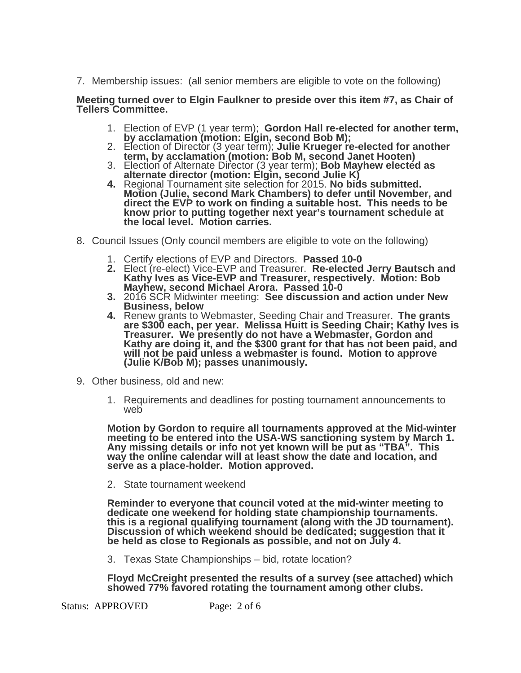7. Membership issues: (all senior members are eligible to vote on the following)

## **Meeting turned over to Elgin Faulkner to preside over this item #7, as Chair of Tellers Committee.**

- 1. Election of EVP (1 year term); **Gordon Hall re-elected for another term,**
- 2. Election of Director (3 year term); Julie Krueger re-elected for another<br>term, by acclamation (motion: Bob M, second Janet Hooten)<br>3. Election of Alternate Director (3 year term); Bob Mayhew elected as<br>alternate directo
- 
- **Motion (Julie, second Mark Chambers) to defer until November, and direct the EVP to work on finding a suitable host. This needs to be know prior to putting together next year's tournament schedule at the local level. Motion carries.**
- 8. Council Issues (Only council members are eligible to vote on the following)
	- 1. Certify elections of EVP and Directors. **Passed 10-0**
	- 2. Elect (re-elect) Vice-EVP and Treasurer. Re-elected Jerry Bautsch and<br>Kathy Ives as Vice-EVP and Treasurer, respectively. Motion: Bob<br>Mayhew, second Michael Arora. Passed 10-0<br>3. 2016 SCR Midwinter meeting: See discussi
	- **Business, below**
	- **4.** Renew grants to Webmaster, Seeding Chair and Treasurer. **The grants are \$300 each, per year. Melissa Huitt is Seeding Chair; Kathy Ives is Treasurer. We presently do not have a Webmaster, Gordon and Kathy are doing it, and the \$300 grant for that has not been paid, and will not be paid unless a webmaster is found. Motion to approve (Julie K/Bob M); passes unanimously.**
- 9. Other business, old and new:
	- 1. Requirements and deadlines for posting tournament announcements to web

Motion by Gordon to require all tournaments approved at the Mid-winter<br>meeting to be entered into the USA-WS sanctioning system by March 1.<br>Any missing details or info not yet known will be put as "TBA". This<br>way the onlin **serve as a place-holder. Motion approved.** 

2. State tournament weekend

Reminder to everyone that council voted at the mid-winter meeting to<br>dedicate one weekend for holding state championship tournaments.<br>this is a regional qualifying tournament (along with the JD tournament).<br>Discussion of w

3. Texas State Championships – bid, rotate location?

**Floyd McCreight presented the results of a survey (see attached) which showed 77% favored rotating the tournament among other clubs.** 

Status: APPROVED Page: 2 of 6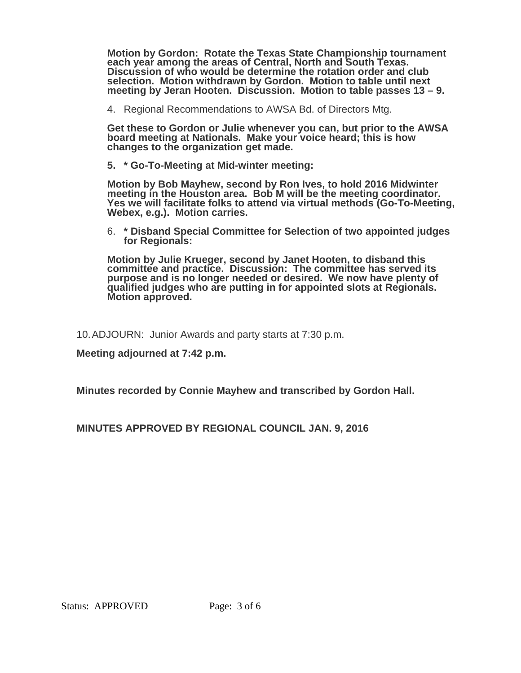**Motion by Gordon: Rotate the Texas State Championship tournament each year among the areas of Central, North and South Texas. Discussion of who would be determine the rotation order and club selection. Motion withdrawn by Gordon. Motion to table until next meeting by Jeran Hooten. Discussion. Motion to table passes 13 – 9.** 

4. Regional Recommendations to AWSA Bd. of Directors Mtg.

**Get these to Gordon or Julie whenever you can, but prior to the AWSA board meeting at Nationals. Make your voice heard; this is how changes to the organization get made.** 

**5. \* Go-To-Meeting at Mid-winter meeting:** 

**Motion by Bob Mayhew, second by Ron Ives, to hold 2016 Midwinter**  Yes we will facilitate folks to attend via virtual methods (Go-To-Meeting,<br>Webex, e.g.). Motion carries.

6. **\* Disband Special Committee for Selection of two appointed judges for Regionals:**

**Motion by Julie Krueger, second by Janet Hooten, to disband this committee and practice. Discussion: The committee has served its purpose and is no longer needed or desired. We now have plenty of qualified judges who are putting in for appointed slots at Regionals. Motion approved.** 

10. ADJOURN: Junior Awards and party starts at 7:30 p.m.

**Meeting adjourned at 7:42 p.m.** 

**Minutes recorded by Connie Mayhew and transcribed by Gordon Hall.** 

**MINUTES APPROVED BY REGIONAL COUNCIL JAN. 9, 2016**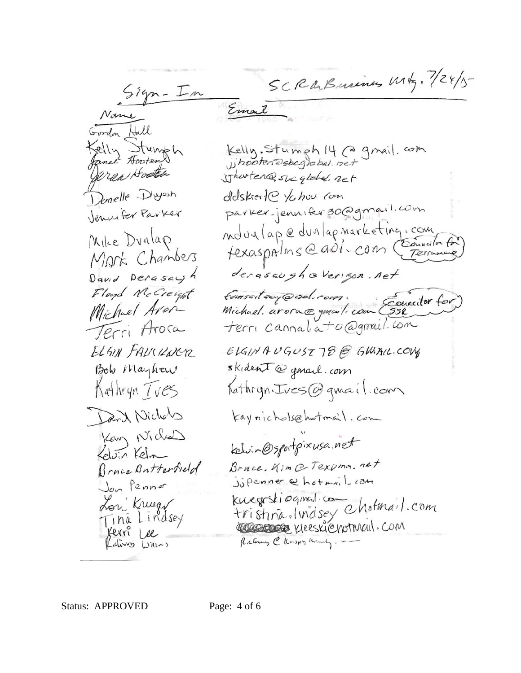SCRABusines Mtg. 7/24/5 Email Gordon Hall Kelly Sturmsh Kelly. Stumph 14 (a gmail. com<br>jihooten esbeglobal. net erea Hoote ishouten@sucglobe.net Domelle Diyosh delskier te ychou com parker.jennifer30@gmail.com Jennifer Parker novalape dunlapmarketing, com Mike Dunlap texaspalms @ ad1. com (Exercison for Mark Chambers derasaugheverigon, net David Derasayh Floyd McCreight formsait aux @ sol. rom.<br>Michael. arora@gmail.com (552 Michael Arora Terri Arosa terri cannaliato@gmail.com ELSIN FALKILNER ELGINAUGUST 78 @ GLAAIL.COM skident@gmail.com Bob Mayhow Kathryn *Tves* Kathryn. Ives@gmail.com Darit Nichols kaynichols@hotmail.com Kary Nichal kelvin@sportpixusa.net Kelvin Kelm Bruce. Kim @ Texpma. net Bruce Butterfield Jupenner @hotmail.com Jon Penner kwegrstiegned.com<br>tristina.lindsey Chotmail.com<br>Cocococo Kleeskienotmail.com Lon Kruger<br>Tina Lindsey **Jerri Lee** Rections @ Krispy Kindy. -Lating With

Status: APPROVED Page: 4 of 6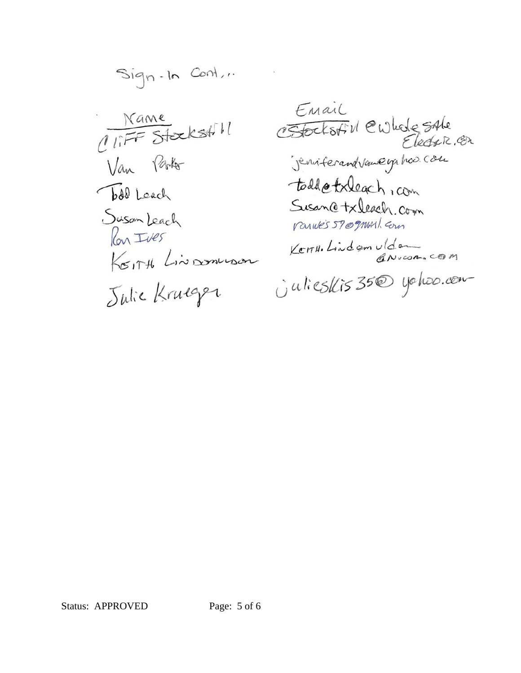Sign-In Cont... Name<br>(IFF Stockstill Van Parko bdd Leach Suson Leach Kontres<br>Korth Linsonneson

Email CHOCKSAIN CWLede SALe todd etxleach, com Susance txleach com ranves 57 ognasil com Kerry, Lindom ulder Unlieskis 350 yoloo.com

Status: APPROVED Page: 5 of 6